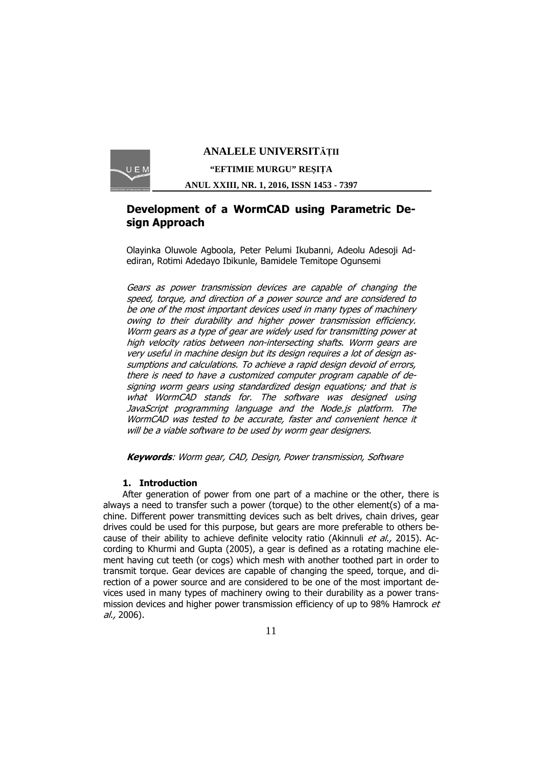

# **ANALELE UNIVERSITĂŢII "EFTIMIE MURGU" REŞIŢA**

**ANUL XXIII, NR. 1, 2016, ISSN 1453 - 7397** 

## **Development of a WormCAD using Parametric Design Approach**

Olayinka Oluwole Agboola, Peter Pelumi Ikubanni, Adeolu Adesoji Adediran, Rotimi Adedayo Ibikunle, Bamidele Temitope Ogunsemi

Gears as power transmission devices are capable of changing the speed, torque, and direction of a power source and are considered to be one of the most important devices used in many types of machinery owing to their durability and higher power transmission efficiency. Worm gears as a type of gear are widely used for transmitting power at high velocity ratios between non-intersecting shafts. Worm gears are very useful in machine design but its design requires a lot of design assumptions and calculations. To achieve a rapid design devoid of errors, there is need to have a customized computer program capable of designing worm gears using standardized design equations; and that is what WormCAD stands for. The software was designed using JavaScript programming language and the Node.js platform. The WormCAD was tested to be accurate, faster and convenient hence it will be a viable software to be used by worm gear designers.

**Keywords**: Worm gear, CAD, Design, Power transmission, Software

### **1. Introduction**

After generation of power from one part of a machine or the other, there is always a need to transfer such a power (torque) to the other element(s) of a machine. Different power transmitting devices such as belt drives, chain drives, gear drives could be used for this purpose, but gears are more preferable to others because of their ability to achieve definite velocity ratio (Akinnuli *et al.*, 2015). According to Khurmi and Gupta (2005), a gear is defined as a rotating machine element having cut teeth (or cogs) which mesh with another toothed part in order to transmit torque. Gear devices are capable of changing the speed, torque, and direction of a power source and are considered to be one of the most important devices used in many types of machinery owing to their durability as a power transmission devices and higher power transmission efficiency of up to 98% Hamrock  $et$ al., 2006).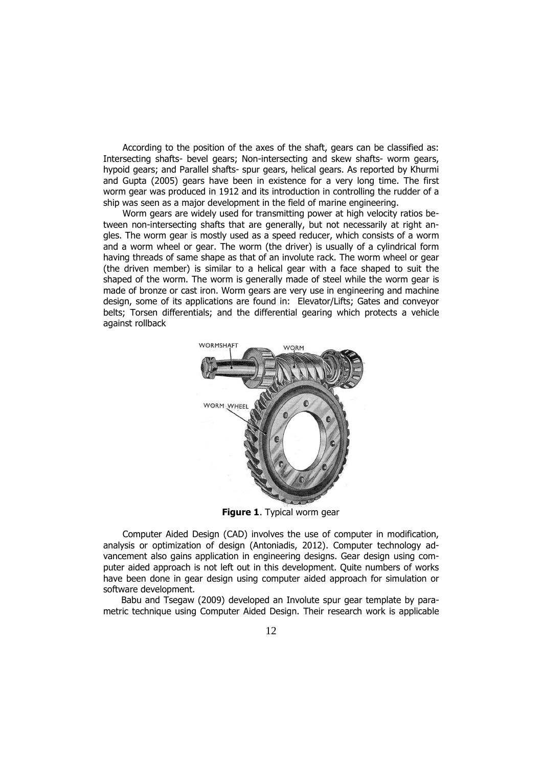According to the position of the axes of the shaft, gears can be classified as: Intersecting shafts- bevel gears; Non-intersecting and skew shafts- worm gears, hypoid gears; and Parallel shafts- spur gears, helical gears. As reported by Khurmi and Gupta (2005) gears have been in existence for a very long time. The first worm gear was produced in 1912 and its introduction in controlling the rudder of a ship was seen as a major development in the field of marine engineering.

Worm gears are widely used for transmitting power at high velocity ratios between non-intersecting shafts that are generally, but not necessarily at right angles. The worm gear is mostly used as a speed reducer, which consists of a worm and a worm wheel or gear. The worm (the driver) is usually of a cylindrical form having threads of same shape as that of an involute rack. The worm wheel or gear (the driven member) is similar to a helical gear with a face shaped to suit the shaped of the worm. The worm is generally made of steel while the worm gear is made of bronze or cast iron. Worm gears are very use in engineering and machine design, some of its applications are found in: Elevator/Lifts; Gates and conveyor belts; Torsen differentials; and the differential gearing which protects a vehicle against rollback



**Figure 1**. Typical worm gear

Computer Aided Design (CAD) involves the use of computer in modification, analysis or optimization of design (Antoniadis, 2012). Computer technology advancement also gains application in engineering designs. Gear design using computer aided approach is not left out in this development. Quite numbers of works have been done in gear design using computer aided approach for simulation or software development.

 Babu and Tsegaw (2009) developed an Involute spur gear template by parametric technique using Computer Aided Design. Their research work is applicable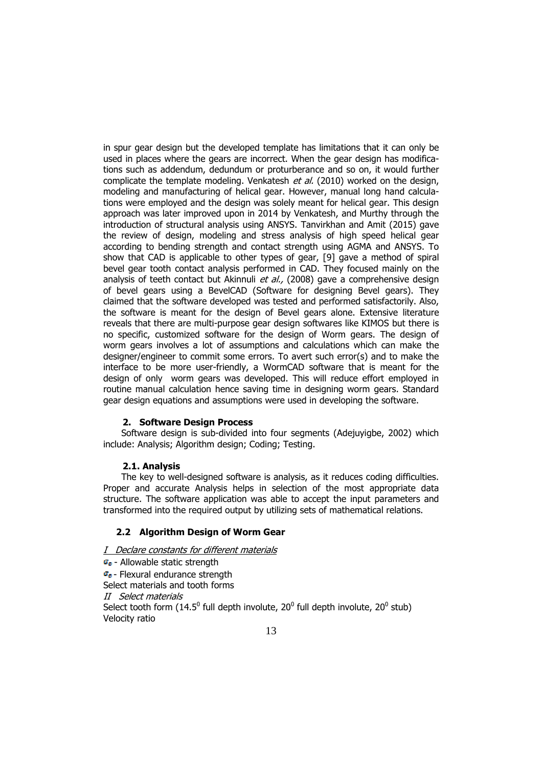in spur gear design but the developed template has limitations that it can only be used in places where the gears are incorrect. When the gear design has modifications such as addendum, dedundum or proturberance and so on, it would further complicate the template modeling. Venkatesh  $et al.$  (2010) worked on the design, modeling and manufacturing of helical gear. However, manual long hand calculations were employed and the design was solely meant for helical gear. This design approach was later improved upon in 2014 by Venkatesh, and Murthy through the introduction of structural analysis using ANSYS. Tanvirkhan and Amit (2015) gave the review of design, modeling and stress analysis of high speed helical gear according to bending strength and contact strength using AGMA and ANSYS. To show that CAD is applicable to other types of gear, [9] gave a method of spiral bevel gear tooth contact analysis performed in CAD. They focused mainly on the analysis of teeth contact but Akinnuli et al., (2008) gave a comprehensive design of bevel gears using a BevelCAD (Software for designing Bevel gears). They claimed that the software developed was tested and performed satisfactorily. Also, the software is meant for the design of Bevel gears alone. Extensive literature reveals that there are multi-purpose gear design softwares like KIMOS but there is no specific, customized software for the design of Worm gears. The design of worm gears involves a lot of assumptions and calculations which can make the designer/engineer to commit some errors. To avert such error(s) and to make the interface to be more user-friendly, a WormCAD software that is meant for the design of only worm gears was developed. This will reduce effort employed in routine manual calculation hence saving time in designing worm gears. Standard gear design equations and assumptions were used in developing the software.

### **2. Software Design Process**

 Software design is sub-divided into four segments (Adejuyigbe, 2002) which include: Analysis; Algorithm design; Coding; Testing.

#### **2.1. Analysis**

 The key to well-designed software is analysis, as it reduces coding difficulties. Proper and accurate Analysis helps in selection of the most appropriate data structure. The software application was able to accept the input parameters and transformed into the required output by utilizing sets of mathematical relations.

### **2.2 Algorithm Design of Worm Gear**

- I Declare constants for different materials
- $\sigma_{0}$  Allowable static strength

 $\sigma_{\rm e}$  - Flexural endurance strength Select materials and tooth forms

II Select materials

Select tooth form (14.5<sup>0</sup> full depth involute, 20<sup>0</sup> full depth involute, 20<sup>0</sup> stub) Velocity ratio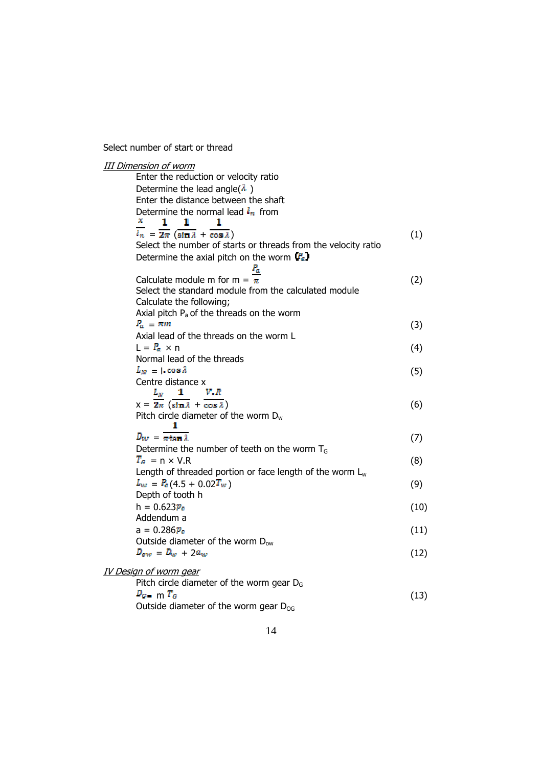Select number of start or thread

| Enter the reduction or velocity ratio<br>Determine the lead angle( $\lambda$ )<br>Enter the distance between the shaft<br>Determine the normal lead $l_n$ from<br>х.<br>1<br>1<br>1<br>$l_n = \overline{2\pi} (\sin \lambda + \overline{\cos \lambda})$<br>(1)<br>Select the number of starts or threads from the velocity ratio<br>Determine the axial pitch on the worm $(P_a)$<br>ľ,<br>Calculate module m for m = $\frac{1}{\pi}$<br>(2)<br>Select the standard module from the calculated module<br>Calculate the following;<br>Axial pitch P <sub>a</sub> of the threads on the worm<br>$P_a = \pi m$<br>(3)<br>Axial lead of the threads on the worm L<br>$L = R_a \times n$<br>(4)<br>Normal lead of the threads<br>$L_M = 1 \cos \lambda$<br>(5)<br>Centre distance x<br>V.R<br>$L_N = 1$<br>$x = \overline{2\pi} (\overline{\sin \lambda} + \overline{\cos \lambda})$<br>(6)<br>Pitch circle diameter of the worm $D_w$<br>1<br>$D_{W} = \overline{n \tan \lambda}$<br>(7)<br>Determine the number of teeth on the worm $TG$<br>$T_a$ = n × V.R<br>(8)<br>Length of threaded portion or face length of the worm $L_w$ |
|---------------------------------------------------------------------------------------------------------------------------------------------------------------------------------------------------------------------------------------------------------------------------------------------------------------------------------------------------------------------------------------------------------------------------------------------------------------------------------------------------------------------------------------------------------------------------------------------------------------------------------------------------------------------------------------------------------------------------------------------------------------------------------------------------------------------------------------------------------------------------------------------------------------------------------------------------------------------------------------------------------------------------------------------------------------------------------------------------------------------------------|
|                                                                                                                                                                                                                                                                                                                                                                                                                                                                                                                                                                                                                                                                                                                                                                                                                                                                                                                                                                                                                                                                                                                                 |
|                                                                                                                                                                                                                                                                                                                                                                                                                                                                                                                                                                                                                                                                                                                                                                                                                                                                                                                                                                                                                                                                                                                                 |
|                                                                                                                                                                                                                                                                                                                                                                                                                                                                                                                                                                                                                                                                                                                                                                                                                                                                                                                                                                                                                                                                                                                                 |
|                                                                                                                                                                                                                                                                                                                                                                                                                                                                                                                                                                                                                                                                                                                                                                                                                                                                                                                                                                                                                                                                                                                                 |
|                                                                                                                                                                                                                                                                                                                                                                                                                                                                                                                                                                                                                                                                                                                                                                                                                                                                                                                                                                                                                                                                                                                                 |
|                                                                                                                                                                                                                                                                                                                                                                                                                                                                                                                                                                                                                                                                                                                                                                                                                                                                                                                                                                                                                                                                                                                                 |
|                                                                                                                                                                                                                                                                                                                                                                                                                                                                                                                                                                                                                                                                                                                                                                                                                                                                                                                                                                                                                                                                                                                                 |
|                                                                                                                                                                                                                                                                                                                                                                                                                                                                                                                                                                                                                                                                                                                                                                                                                                                                                                                                                                                                                                                                                                                                 |
|                                                                                                                                                                                                                                                                                                                                                                                                                                                                                                                                                                                                                                                                                                                                                                                                                                                                                                                                                                                                                                                                                                                                 |
|                                                                                                                                                                                                                                                                                                                                                                                                                                                                                                                                                                                                                                                                                                                                                                                                                                                                                                                                                                                                                                                                                                                                 |
|                                                                                                                                                                                                                                                                                                                                                                                                                                                                                                                                                                                                                                                                                                                                                                                                                                                                                                                                                                                                                                                                                                                                 |
|                                                                                                                                                                                                                                                                                                                                                                                                                                                                                                                                                                                                                                                                                                                                                                                                                                                                                                                                                                                                                                                                                                                                 |
|                                                                                                                                                                                                                                                                                                                                                                                                                                                                                                                                                                                                                                                                                                                                                                                                                                                                                                                                                                                                                                                                                                                                 |
|                                                                                                                                                                                                                                                                                                                                                                                                                                                                                                                                                                                                                                                                                                                                                                                                                                                                                                                                                                                                                                                                                                                                 |
|                                                                                                                                                                                                                                                                                                                                                                                                                                                                                                                                                                                                                                                                                                                                                                                                                                                                                                                                                                                                                                                                                                                                 |
|                                                                                                                                                                                                                                                                                                                                                                                                                                                                                                                                                                                                                                                                                                                                                                                                                                                                                                                                                                                                                                                                                                                                 |
|                                                                                                                                                                                                                                                                                                                                                                                                                                                                                                                                                                                                                                                                                                                                                                                                                                                                                                                                                                                                                                                                                                                                 |
|                                                                                                                                                                                                                                                                                                                                                                                                                                                                                                                                                                                                                                                                                                                                                                                                                                                                                                                                                                                                                                                                                                                                 |
|                                                                                                                                                                                                                                                                                                                                                                                                                                                                                                                                                                                                                                                                                                                                                                                                                                                                                                                                                                                                                                                                                                                                 |
|                                                                                                                                                                                                                                                                                                                                                                                                                                                                                                                                                                                                                                                                                                                                                                                                                                                                                                                                                                                                                                                                                                                                 |
|                                                                                                                                                                                                                                                                                                                                                                                                                                                                                                                                                                                                                                                                                                                                                                                                                                                                                                                                                                                                                                                                                                                                 |
|                                                                                                                                                                                                                                                                                                                                                                                                                                                                                                                                                                                                                                                                                                                                                                                                                                                                                                                                                                                                                                                                                                                                 |
|                                                                                                                                                                                                                                                                                                                                                                                                                                                                                                                                                                                                                                                                                                                                                                                                                                                                                                                                                                                                                                                                                                                                 |
|                                                                                                                                                                                                                                                                                                                                                                                                                                                                                                                                                                                                                                                                                                                                                                                                                                                                                                                                                                                                                                                                                                                                 |
|                                                                                                                                                                                                                                                                                                                                                                                                                                                                                                                                                                                                                                                                                                                                                                                                                                                                                                                                                                                                                                                                                                                                 |
| $L_w = P_e(4.5 + 0.02T_w)$<br>(9)                                                                                                                                                                                                                                                                                                                                                                                                                                                                                                                                                                                                                                                                                                                                                                                                                                                                                                                                                                                                                                                                                               |
| Depth of tooth h                                                                                                                                                                                                                                                                                                                                                                                                                                                                                                                                                                                                                                                                                                                                                                                                                                                                                                                                                                                                                                                                                                                |
| $h = 0.623P_c$<br>(10)                                                                                                                                                                                                                                                                                                                                                                                                                                                                                                                                                                                                                                                                                                                                                                                                                                                                                                                                                                                                                                                                                                          |
| Addendum a                                                                                                                                                                                                                                                                                                                                                                                                                                                                                                                                                                                                                                                                                                                                                                                                                                                                                                                                                                                                                                                                                                                      |
| $a = 0.286 p_c$<br>(11)                                                                                                                                                                                                                                                                                                                                                                                                                                                                                                                                                                                                                                                                                                                                                                                                                                                                                                                                                                                                                                                                                                         |
| Outside diameter of the worm D <sub>ow</sub>                                                                                                                                                                                                                                                                                                                                                                                                                                                                                                                                                                                                                                                                                                                                                                                                                                                                                                                                                                                                                                                                                    |
| $D_{ow} = D_w + 2a_w$<br>(12)                                                                                                                                                                                                                                                                                                                                                                                                                                                                                                                                                                                                                                                                                                                                                                                                                                                                                                                                                                                                                                                                                                   |
| <u>IV Design of worm gear</u>                                                                                                                                                                                                                                                                                                                                                                                                                                                                                                                                                                                                                                                                                                                                                                                                                                                                                                                                                                                                                                                                                                   |
| Pitch circle diameter of the worm gear $DG$                                                                                                                                                                                                                                                                                                                                                                                                                                                                                                                                                                                                                                                                                                                                                                                                                                                                                                                                                                                                                                                                                     |
| $D_{G}$ m $T_G$<br>(13)                                                                                                                                                                                                                                                                                                                                                                                                                                                                                                                                                                                                                                                                                                                                                                                                                                                                                                                                                                                                                                                                                                         |
| Outside diameter of the worm gear $D_{OG}$                                                                                                                                                                                                                                                                                                                                                                                                                                                                                                                                                                                                                                                                                                                                                                                                                                                                                                                                                                                                                                                                                      |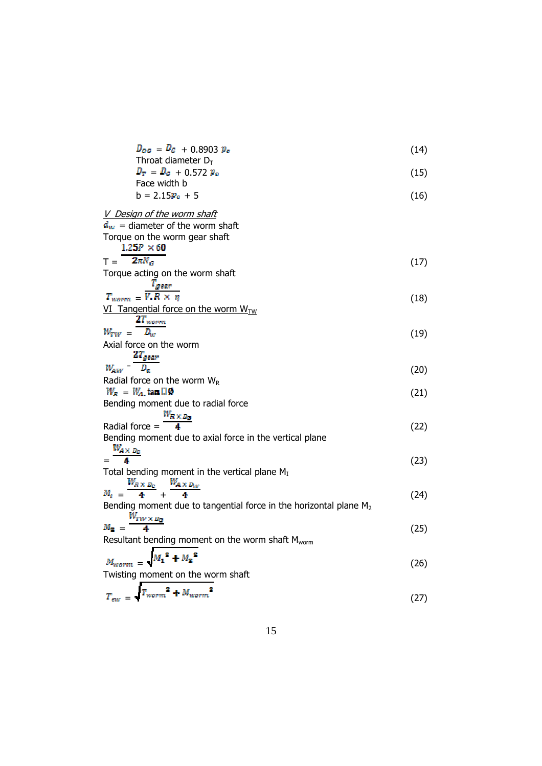| $D_{\alpha\beta} = D_{\beta} + 0.8903 p_{\alpha}$<br>Throat diameter $D_T$               | (14) |
|------------------------------------------------------------------------------------------|------|
| $D_T = D_G + 0.572 p_c$                                                                  | (15) |
| Face width b<br>$b = 2.15p_e + 5$                                                        | (16) |
| V Design of the worm shaft                                                               |      |
| $d_w$ = diameter of the worm shaft<br>Torque on the worm gear shaft<br>$1.25P \times 60$ |      |
| $T = 2\pi N_{\text{cr}}$                                                                 | (17) |
| Torque acting on the worm shaft                                                          |      |
| $T_{\small{year}}$<br>$T_{warm} = \overline{V.R \times \eta}$                            | (18) |
| VI Tangential force on the worm $W_{TW}$                                                 |      |
| $2r_{\tiny{worm}}$                                                                       |      |
| $D_w$<br>$W_{WW} =$<br>Axial force on the worm                                           | (19) |
|                                                                                          |      |
| $W_{AV} = \frac{2T_{gear}}{D_a}$                                                         | (20) |
| Radial force on the worm $W_R$                                                           |      |
| $W_R = W_A$ , tan $\Box \phi$<br>Bending moment due to radial force                      | (21) |
|                                                                                          |      |
| $\frac{W_{R\times D_G}}{4}$<br>Radial force $=$                                          | (22) |
| Bending moment due to axial force in the vertical plane                                  |      |
| $=\frac{W_{A\times B_c}}{4}$                                                             | (23) |
| Total bending moment in the vertical plane $M_I$                                         |      |
| $\frac{W_{R\times D_G}}{4} + \frac{W_{A\times D_W}}{4}$                                  |      |
| $M_T =$<br>Bending moment due to tangential force in the horizontal plane $M_2$          | (24) |
|                                                                                          |      |
| $\frac{W_{TW} \times D_C}{4}$<br>$M_{\rm{m}} =$                                          | (25) |
| Resultant bending moment on the worm shaft M <sub>worm</sub>                             |      |
| $M_1^2 + M_2^2$                                                                          | (26) |
| Twisting moment on the worm shaft                                                        |      |
| $T_{\text{sw}} = \sqrt{T_{\text{worm}}^2 + M_{\text{worm}}^2}$                           |      |
|                                                                                          | (27) |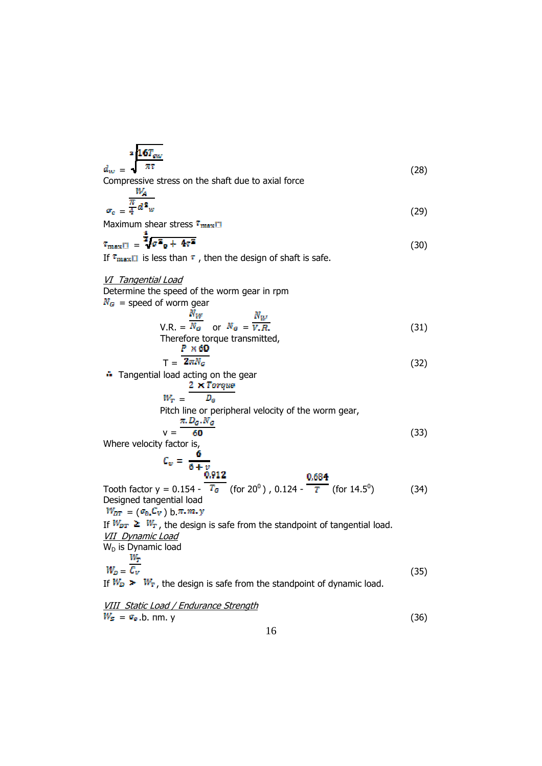$$
\frac{16T_{ew}}{\pi r}
$$
\nCompressive stress on the shaft due to axial force

\n(28)

Compressive stress on the shaft due to axial force

$$
\sigma_c = \frac{\frac{W_A}{\pi} \bar{d}^2 w}{(29)}
$$

Maximum shear stress  $\tau_{\text{max}}$ 

$$
\overline{\mathbf{r}}_{\text{max}} = \frac{\overline{\mathbf{z}} \cdot \overline{\mathbf{z}} \cdot \overline{\mathbf{z}}}{\mathbf{z} \cdot \overline{\mathbf{z}} \cdot \overline{\mathbf{z}} \cdot \mathbf{z}} \tag{30}
$$

If  $\tau_{\text{max}}$  is less than  $\tau$ , then the design of shaft is safe.

VI Tangential Load

Determine the speed of the worm gear in rpm  $N_G$  = speed of worm gear

$$
V.R. = \frac{N_W}{N_G} \quad \text{or} \quad N_G = \overline{v.R.}
$$
\nTherefore torque transmitted, (31)

$$
T = \frac{P \times 60}{2\pi N_G} \tag{32}
$$

**Tangential load acting on the gear** 

$$
\frac{2 \times Torque}{W_T} = \frac{2 \times Torque}{D_G}
$$
  
\nPitch line or peripheral velocity of the worm gear,  
\n
$$
\frac{\pi.D_G.N_G}{V} = \frac{\frac{\pi.D_G.N_G}{60}
$$
\n(33)

Where velocity factor is,

$$
C_v = \frac{6}{6 + v}
$$
  
\nTooth factor y = 0.154 -  $\frac{0.912}{T_G}$  (for 20<sup>0</sup>), 0.124 -  $\frac{0.684}{T}$  (for 14.5<sup>0</sup>) (34)  
\nDesigned tangential load

Designe  $W_{DT} = (\sigma_0, C_V)$  b.  $\pi, m, y$ If  $W_{DT} \geq W_T$ , the design is safe from the standpoint of tangential load. VII Dynamic Load  $W_D$  is Dynamic load<br>  $W_E = \frac{W_T}{C_U}$  $=\mathcal{C}_V$  (35)

If  $W_D > W_T$ , the design is safe from the standpoint of dynamic load.

VIII Static Load / Endurance Strength  
\n
$$
W_s = \sigma_s
$$
.b. nm. y  
\n $16$  (36)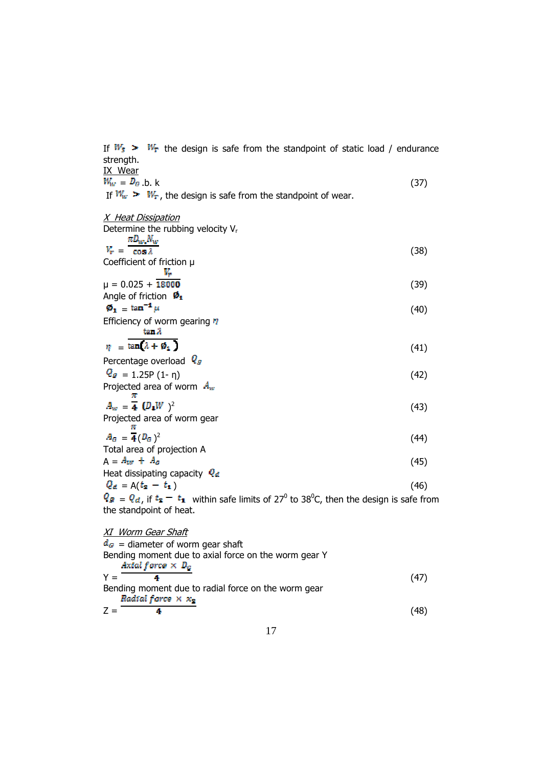If  $W_s$  >  $W_T$  the design is safe from the standpoint of static load / endurance strength.

| IX Wear                                                          |      |
|------------------------------------------------------------------|------|
| $W_{\text{w}} = D_G$ b. k                                        | (37) |
| If $W_w > W_T$ , the design is safe from the standpoint of wear. |      |
| <u>X Heat Dissipation</u>                                        |      |
| Determine the rubbing velocity $V_r$                             |      |
| $nD_w$ , $N_w$                                                   |      |
| $V_r = \cos \lambda$                                             | (38) |
| Coefficient of friction µ                                        |      |
| κ,                                                               |      |
| $\mu = 0.025 + 18000$                                            | (39) |
| Angle of friction $\mathbf{\varphi}_{1}$                         |      |
| $\boldsymbol{\varnothing}_1 = \tan^{-1} \mu$                     | (40) |
| Efficiency of worm gearing n                                     |      |
| tan A                                                            |      |
| $\eta = \tan \lambda + \phi_1$                                   | (41) |
| Percentage overload U <sub>s</sub>                               |      |
| $Q_g = 1.25P(1-\eta)$                                            | (42) |
| Projected area of worm $A_w$<br>w                                |      |
| $A_w = \overline{4} (D_{\perp}W)^2$                              | (43) |
| Projected area of worm gear<br>т                                 |      |
| $\overline{z}$ . $\overline{z}$                                  |      |

$$
A_G = \overline{A}(D_G)^2
$$
  
Total area of projection A (44)

$$
A = A_{w} + A_{c}
$$
\n(45)

\nHeat dissipating capacity  $Q_d$ 

 $Q_d = A(t_2 - t_1)$  (46)

 $= Q_d$ , if  $t_2 - t_1$  within safe limits of 27<sup>0</sup> to 38<sup>0</sup>C, then the design is safe from the standpoint of heat.

XI Worm Gear Shaft  $d_G$  = diameter of worm gear shaft Bending moment due to axial force on the worm gear Y  $Y = \frac{Axial \text{ forces} \times D_g}{4}$  (47) Bending moment due to radial force on the worm gear<br>
Radial force  $\times x_2$  $Z = \frac{4}{100}$  (48)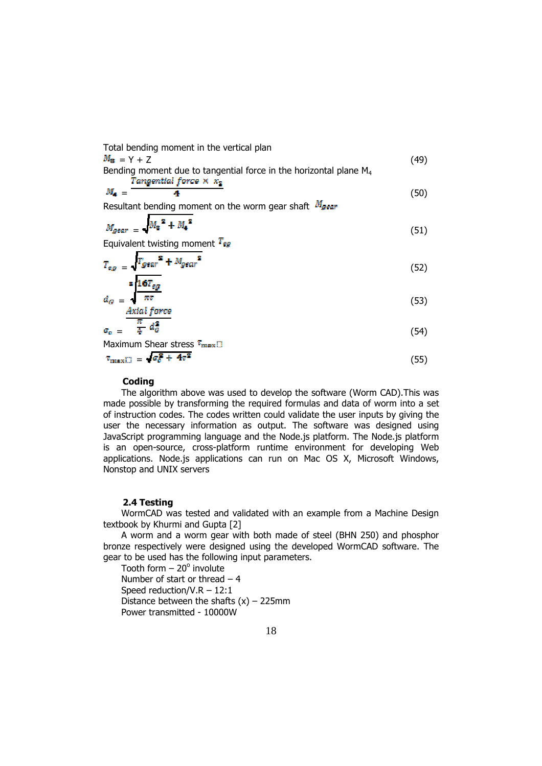Total bending moment in the vertical plan  $= Y + Z$  (49) Bending moment due to tangential force in the horizontal plane  $M_4$ <br>Tangential force  $\times \times x_2$  $=$  4 (50) Resultant bending moment on the worm gear shaft  $M_{\text{year}}$ 

$$
M_{\text{gear}} = \sqrt{{M_{\text{a}}}^2 + {M_{\text{a}}}^2} \tag{51}
$$

Equivalent twisting moment  $T_{eg}$ 

$$
T_{eg} = \sqrt{T_{gear}^2 + M_{gear}^2}
$$
\n
$$
= \sqrt{T_{gear}^2 + M_{gear}^2}
$$
\n(52)

$$
d_G = \frac{\sqrt{\pi r}}{\pi r}
$$
 (53)

$$
\sigma_c = \frac{\pi}{4} d_c^2
$$
\n
$$
\sigma_c = \frac{\pi}{4} d_c^2
$$
\n
$$
\sigma_c = (54)
$$

$$
\tau_{\text{max}} = \sqrt{\sigma_{\sigma}^2 + 4\tau^2} \tag{55}
$$

### **Coding**

 The algorithm above was used to develop the software (Worm CAD).This was made possible by transforming the required formulas and data of worm into a set of instruction codes. The codes written could validate the user inputs by giving the user the necessary information as output. The software was designed using JavaScript programming language and the Node.js platform. The Node.js platform is an open-source, cross-platform runtime environment for developing Web applications. Node.js applications can run on Mac OS X, Microsoft Windows, Nonstop and UNIX servers

### **2.4 Testing**

 WormCAD was tested and validated with an example from a Machine Design textbook by Khurmi and Gupta [2]

 A worm and a worm gear with both made of steel (BHN 250) and phosphor bronze respectively were designed using the developed WormCAD software. The gear to be used has the following input parameters.

Tooth form  $-20^\circ$  involute Number of start or thread  $-4$  Speed reduction/V.R – 12:1 Distance between the shafts  $(x)$  – 225mm Power transmitted - 10000W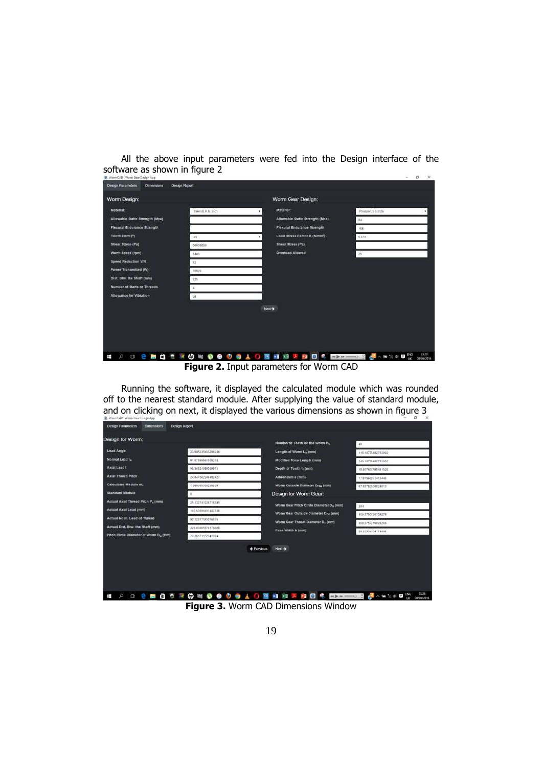|                                                                   |  | All the above input parameters were fed into the Design interface of the |  |  |  |             |  |
|-------------------------------------------------------------------|--|--------------------------------------------------------------------------|--|--|--|-------------|--|
| software as shown in figure 2<br>W. WormCAD   Worm Gaw Design App |  |                                                                          |  |  |  | $ 0 \times$ |  |
| Design Parameters Cimensions Design Report                        |  |                                                                          |  |  |  |             |  |

| Worm Design:                       |                    | Worm Gear Design:                         |                            |
|------------------------------------|--------------------|-------------------------------------------|----------------------------|
| <b>Material:</b>                   | Steel (B.H.N. 250) | Material:                                 | Photophus Bronze<br>٠      |
| Allowable Static Strength (Mpa)    |                    | Alinwable Static Strength (Mpa)           | 84                         |
| <b>Flexural Endurance Strength</b> |                    | <b>Flexural Endurance Strength</b>        | 166                        |
| Tooth Form ( <sup>1</sup> )        | 20                 | Load Stress Factor K (Nimm <sup>2</sup> ) | 0.415                      |
| Shear Stress (Pa)                  | 58005000           | Shear Stress (Pa)                         |                            |
| Worm Speed (rpm)                   | 1,800              | <b>Overload Allowed</b>                   | 25                         |
| <b>Speed Reduction VIR</b>         | 12                 |                                           |                            |
| Power Transmitted (W)              | 10005              |                                           |                            |
| Dist. Btw. the Shaft (mm)          | 225                |                                           |                            |
| Number of Starts or Threads        | 4                  |                                           |                            |
| Allowance for Vibration            | 25                 |                                           |                            |
|                                    |                    | Next-                                     |                            |
|                                    |                    |                                           |                            |
| n.<br>$\circ$<br>ī<br>$t \Box t$   |                    | OCTOBOOGAO SHERRE SHERRA                  | 23:28<br><b>GIUGA/JO16</b> |
|                                    |                    | $E_{\text{GU}}$                           |                            |

**Figure 2.** Input parameters for Worm CAD

 Running the software, it displayed the calculated module which was rounded off to the nearest standard module. After supplying the value of standard module, and on clicking on next, it displayed the various dimensions as shown in figure 3

| Design Parameters<br><b>Comensions</b>        | Design Report                          |                                                      |                                      |
|-----------------------------------------------|----------------------------------------|------------------------------------------------------|--------------------------------------|
| Design for Worm:                              |                                        | Number of Teeth on the Wom Do                        | AB                                   |
| Lead Angle                                    | 21595235483298936                      | Length of Worm L. (mm)                               | 115.10795482753002                   |
| Normal Lead In                                | 91.07099561569263                      | Modified Face Lengm (mm)                             | 140.10795482753002                   |
| Axial Lead I                                  | 99.38824899369971                      | Depth of Tooth h (mm)                                | 15:857697785491528                   |
| <b>Axiat Thread Pitch</b>                     | 24.847062248402427                     | Addendum a (mm)                                      | 7.187903991413446                    |
| Calculated Module m.                          | 7 999045516250139                      | Womn Outside Diameter Dow (mm)                       | 87.63763950624613                    |
| <b>Standard Module</b>                        |                                        | Design for Worm Gear:                                |                                      |
| Actual Axial Thread Pitch P <sub>n</sub> (mm) | 25.122741228718345                     | Worm Gear Pitch Circle Diameter D <sub>G</sub> (rom) |                                      |
| Actual Axial Lead (mm)                        | 100 53086491487338                     | Worm Gear Outside Diameter Doc (mm)                  | 384                                  |
| Actual Norm, Lead of Thread-                  | 92.12617593586935                      | Womi Gear Throat Diameter D <sub>T</sub> (mm)        | 406 3756795158276                    |
| Actual Dist. Bbw. the Shaft (mm)              | 226 63085576170668                     | Face Width b (mm)                                    | 398.3759379829208                    |
| Pitch Circle Diameter of Worm D., (mm)        | 73.26171152341324                      |                                                      | 59.03539364174644                    |
|                                               |                                        | $Next \rightarrow+ Previous$                         |                                      |
|                                               |                                        |                                                      |                                      |
|                                               |                                        |                                                      |                                      |
|                                               |                                        |                                                      |                                      |
|                                               |                                        |                                                      |                                      |
| 0 <sub>2</sub><br>$\circ$                     | <b>CROMOOOAAO MHINERS</b><br><b>ER</b> |                                                      | 23:28<br>● → → → → → →<br>08/06/2018 |

**Figure 3.** Worm CAD Dimensions Window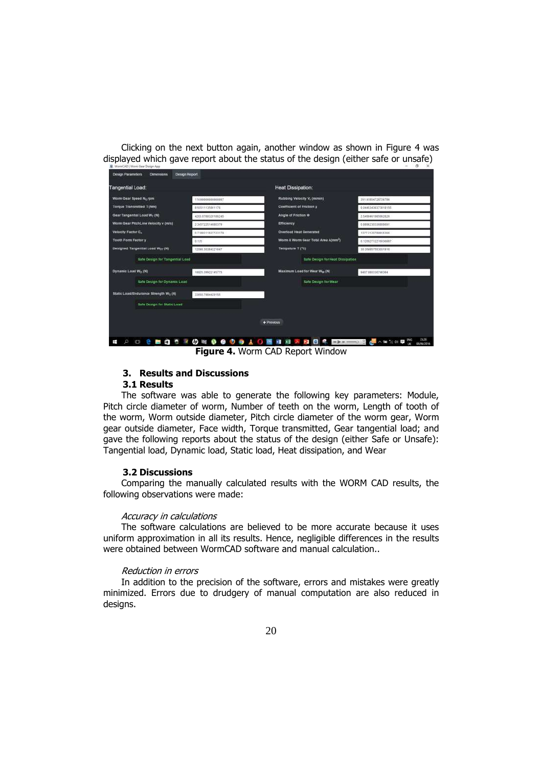Clicking on the next button again, another window as shown in Figure 4 was displayed which gave report about the status of the design (either safe or unsafe)

| <b>Tangential Load:</b>                           |                    | <b>Heat Dissipation:</b>                      |                     |
|---------------------------------------------------|--------------------|-----------------------------------------------|---------------------|
| Worm Gear Speed N <sub>G</sub> rpm                | 116800000000007    | Rubbing Velocity V, (mimin)                   | 35181854736736786   |
| <b>Torque Transmitted T (Nm)</b>                  | 818 5111359 H176   | Coefficient of Friction µ                     | 0.04453430379818155 |
| Gear Tangential Load Wr (N)                       | 4263.0788328186245 | Angle of Friction @                           | 2.5409461985992826  |
| Worm Gear Pricht.ine Velocity v (m/s)             | 2345722514980379   | <b>Efficiency</b>                             | 08898235538800091   |
| Velocity Factor C.                                | 07388315537723179  | <b>Overload Heat Generated</b>                | 1377 2130784916386  |
| <b>Tooth Form Factory</b>                         | 0.135              | Wom & Wom Gear Total Area A(mm <sup>2</sup> ) | 0.12002712210030887 |
| Designed Tangential Load Wor (N)                  | 12098.30384321847  | Tempature T (*C)                              | 30 354057553031918  |
| sate Design for Tangential Load                   |                    | <b>Safe Design for Heat Dissipation</b>       |                     |
| Dynamic Load Wo (N)                               | 10025-00032145775  | Maximum Load for Wear War (N)                 | 9407 800330748394   |
| Safe Design for Dynamic Load                      |                    | Safe Design for Wear                          |                     |
| Static Load/Endurance Strength W <sub>s</sub> (N) | 336567984429155    |                                               |                     |
| <b>Safe Design for Static Loan</b>                |                    |                                               |                     |
|                                                   |                    | ← Previous                                    |                     |
|                                                   |                    |                                               |                     |

**Figure 4.** Worm CAD Report Window

### **3. Results and Discussions**

### **3.1 Results**

 The software was able to generate the following key parameters: Module, Pitch circle diameter of worm, Number of teeth on the worm, Length of tooth of the worm, Worm outside diameter, Pitch circle diameter of the worm gear, Worm gear outside diameter, Face width, Torque transmitted, Gear tangential load; and gave the following reports about the status of the design (either Safe or Unsafe): Tangential load, Dynamic load, Static load, Heat dissipation, and Wear

### **3.2 Discussions**

 Comparing the manually calculated results with the WORM CAD results, the following observations were made:

#### Accuracy in calculations

 The software calculations are believed to be more accurate because it uses uniform approximation in all its results. Hence, negligible differences in the results were obtained between WormCAD software and manual calculation..

### Reduction in errors

 In addition to the precision of the software, errors and mistakes were greatly minimized. Errors due to drudgery of manual computation are also reduced in designs.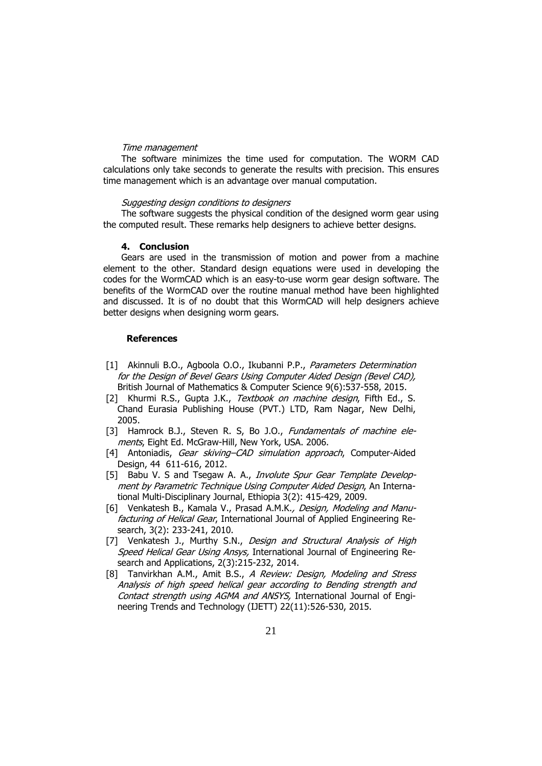#### Time management

 The software minimizes the time used for computation. The WORM CAD calculations only take seconds to generate the results with precision. This ensures time management which is an advantage over manual computation.

### Suggesting design conditions to designers

 The software suggests the physical condition of the designed worm gear using the computed result. These remarks help designers to achieve better designs.

#### **4. Conclusion**

 Gears are used in the transmission of motion and power from a machine element to the other. Standard design equations were used in developing the codes for the WormCAD which is an easy-to-use worm gear design software. The benefits of the WormCAD over the routine manual method have been highlighted and discussed. It is of no doubt that this WormCAD will help designers achieve better designs when designing worm gears.

#### **References**

- [1] Akinnuli B.O., Agboola O.O., Ikubanni P.P., *Parameters Determination* for the Design of Bevel Gears Using Computer Aided Design (Bevel CAD), British Journal of Mathematics & Computer Science 9(6):537-558, 2015.
- [2] Khurmi R.S., Gupta J.K., Textbook on machine design, Fifth Ed., S. Chand Eurasia Publishing House (PVT.) LTD, Ram Nagar, New Delhi, 2005.
- [3] Hamrock B.J., Steven R. S, Bo J.O., *Fundamentals of machine ele*ments, Eight Ed. McGraw-Hill, New York, USA. 2006.
- [4] Antoniadis, Gear skiving–CAD simulation approach, Computer-Aided Design, 44 611-616, 2012.
- [5] Babu V. S and Tsegaw A. A., *Involute Spur Gear Template Develop*ment by Parametric Technique Using Computer Aided Design, An International Multi-Disciplinary Journal, Ethiopia 3(2): 415-429, 2009.
- [6] Venkatesh B., Kamala V., Prasad A.M.K., Design, Modeling and Manufacturing of Helical Gear, International Journal of Applied Engineering Research, 3(2): 233-241, 2010.
- [7] Venkatesh J., Murthy S.N., Design and Structural Analysis of High Speed Helical Gear Using Ansys, International Journal of Engineering Research and Applications, 2(3):215-232, 2014.
- [8] Tanvirkhan A.M., Amit B.S., A Review: Design, Modeling and Stress Analysis of high speed helical gear according to Bending strength and Contact strength using AGMA and ANSYS, International Journal of Engineering Trends and Technology (IJETT) 22(11):526-530, 2015.